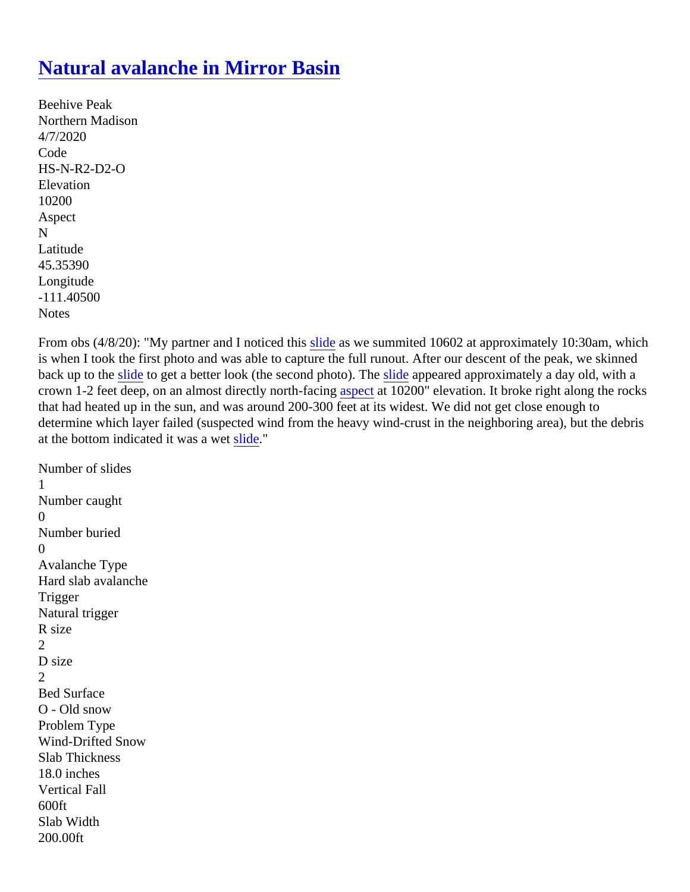## [Natural avalanche in Mirror Basin](https://www.mtavalanche.com/node/22688)

Beehive Peak Northern Madison 4/7/2020 Code HS-N-R2-D2-O **Elevation** 10200 Aspect N Latitude 45.35390 Longitude -111.40500 Notes

From obs (4/8/20): "My partner and I noticed this leas we summited 10602 at approximately 10:30am, which is when I took the first photo and was able to capture the full runout. After our descent of the peak, we skinne back up to the lide to get a better look (the second photo). The appeared approximately a day old, with a crown1-2 feet deep, on an almost directly north-facing  $pcta$  10200" elevation. It broke right along the rocks that had heated up in the sun, and was around 200-300 feet at its widest. We did not get close enough to determine which layer failed (suspected wind from the heavy wind-crust in the neighboring area), but the debi at the bottom indicated it was a vetide"

```
Number of slides
1
Number caught
\OmegaNumber buried
\OmegaAvalanche Type
Hard slab avalanche
Trigger
Natural trigger
R size
2
D size
2
Bed Surface
O - Old snow
Problem Type
Wind-Drifted Snow
Slab Thickness
18.0 inches
Vertical Fall
600ft
Slab Width
200.00ft
```